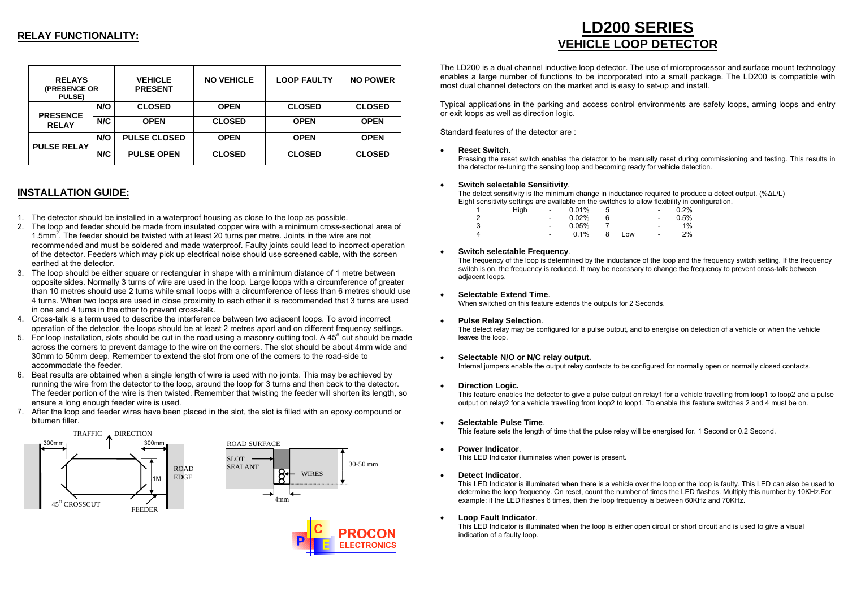# **RELAY FUNCTIONALITY:**

| <b>RELAYS</b><br>(PRESENCE OR<br><b>PULSE</b> ) |     | <b>VEHICLE</b><br><b>PRESENT</b> | <b>NO VEHICLE</b> | <b>LOOP FAULTY</b> | <b>NO POWER</b> |
|-------------------------------------------------|-----|----------------------------------|-------------------|--------------------|-----------------|
| <b>PRESENCE</b>                                 | N/O | <b>CLOSED</b>                    | <b>OPEN</b>       | <b>CLOSED</b>      | <b>CLOSED</b>   |
| <b>RELAY</b>                                    | N/C | <b>OPEN</b>                      | <b>CLOSED</b>     | <b>OPEN</b>        | <b>OPEN</b>     |
| <b>PULSE RELAY</b>                              | N/O | <b>PULSE CLOSED</b>              | <b>OPEN</b>       | <b>OPEN</b>        | <b>OPEN</b>     |
|                                                 | N/C | <b>PULSE OPEN</b>                | <b>CLOSED</b>     | <b>CLOSED</b>      | <b>CLOSED</b>   |

# **INSTALLATION GUIDE:**

- 1. The detector should be installed in a waterproof housing as close to the loop as possible.
- 2. The loop and feeder should be made from insulated copper wire with a minimum cross-sectional area of 1.5mm2. The feeder should be twisted with at least 20 turns per metre. Joints in the wire are not recommended and must be soldered and made waterproof. Faulty joints could lead to incorrect operation of the detector. Feeders which may pick up electrical noise should use screened cable, with the screen earthed at the detector.
- 3. The loop should be either square or rectangular in shape with a minimum distance of 1 metre between opposite sides. Normally 3 turns of wire are used in the loop. Large loops with a circumference of greater than 10 metres should use 2 turns while small loops with a circumference of less than 6 metres should use 4 turns. When two loops are used in close proximity to each other it is recommended that 3 turns are used in one and 4 turns in the other to prevent cross-talk.
- 4. Cross-talk is a term used to describe the interference between two adjacent loops. To avoid incorrect operation of the detector, the loops should be at least 2 metres apart and on different frequency settings.
- 5. For loop installation, slots should be cut in the road using a masonry cutting tool. A  $45^\circ$  cut should be made across the corners to prevent damage to the wire on the corners. The slot should be about 4mm wide and 30mm to 50mm deep. Remember to extend the slot from one of the corners to the road-side to accommodate the feeder.
- 6. Best results are obtained when a single length of wire is used with no joints. This may be achieved by running the wire from the detector to the loop, around the loop for 3 turns and then back to the detector. The feeder portion of the wire is then twisted. Remember that twisting the feeder will shorten its length, so ensure a long enough feeder wire is used.
- 7. After the loop and feeder wires have been placed in the slot, the slot is filled with an epoxy compound or bitumen filler.





# **LD200 SERIES VEHICLE LOOP DETECTOR**

The LD200 is a dual channel inductive loop detector. The use of microprocessor and surface mount technology enables a large number of functions to be incorporated into a small package. The LD200 is compatible with most dual channel detectors on the market and is easy to set-up and install.

Typical applications in the parking and access control environments are safety loops, arming loops and entry or exit loops as well as direction logic.

Standard features of the detector are :

•**Reset Switch**.

Pressing the reset switch enables the detector to be manually reset during commissioning and testing. This results in the detector re-tuning the sensing loop and becoming ready for vehicle detection.

#### •**Switch selectable Sensitivity**.

The detect sensitivity is the minimum change in inductance required to produce a detect output. (% ∆L/L) Eight sensitivity settings are available on the switches to allo w flexibility in configuration.

| 1 | High | ٠ | 0.01% | 5 |      | $\overline{\phantom{a}}$     | 0.2% |
|---|------|---|-------|---|------|------------------------------|------|
| 2 |      | ۰ | 0.02% |   |      | $\overline{\phantom{a}}$     | 0.5% |
| 3 |      | ۰ | 0.05% |   |      | $\qquad \qquad \blacksquare$ | 1%   |
| 4 |      | ٠ | 0.1%  |   | LOW. | $\overline{\phantom{a}}$     | 2%   |

#### •**Switch selectable Frequency**.

The frequency of the loop is determined by the inductance of the loop and the frequency switch setting. If the frequency switch is on, the frequency is reduced. It may be necessary to change the frequency to prevent cross-talk between adjacent loops.

#### •**Selectable Extend Time**.

When switched on this feature extends the outputs for 2 Seconds.

•**Pulse Relay Selection**.

The detect relay may be configured for a pulse output, and to energise on detection of a vehicle or when the vehicle leaves the loop.

#### •**Selectable N/O or N/C relay output.**

Internal jumpers enable the output relay contacts to be configured for normally open or normally closed contacts.

**Direction Logic.** 

This feature enables the detector to give a pulse output on relay1 for a vehicle travelling from loop1 to loop2 and a pulse output on relay2 for a vehicle travelling from loop2 to loop1. To enable this feature switches 2 and 4 must be on.

•**Selectable Pulse Time**.

This feature sets the length of time that the pulse relay will be energised for. 1 Second or 0.2 Second.

•**Power Indicator**.

This LED Indicator illuminates when power is present.

•**Detect Indicator**.

This LED Indicator is illuminated when there is a vehicle over the loop or the loop is faulty. This LED can also be used to determine the loop frequency. On reset, count the number of times the LED flashes. Multiply this number by 10KHz.For example: if the LED flashes 6 times, then the loop frequency is between 60KHz and 70KHz.

•**Loop Fault Indicator**.

This LED Indicator is illuminated when the loop is either open circuit or short circuit and is used to give a visual indication of a faulty loop.